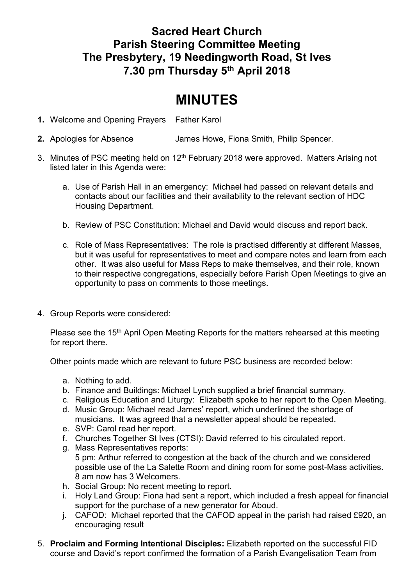## **Sacred Heart Church Parish Steering Committee Meeting The Presbytery, 19 Needingworth Road, St Ives 7.30 pm Thursday 5 th April 2018**

## **MINUTES**

- **1.** Welcome and Opening Prayers Father Karol
- **2.** Apologies for Absence James Howe, Fiona Smith, Philip Spencer.
- 3. Minutes of PSC meeting held on 12<sup>th</sup> February 2018 were approved. Matters Arising not listed later in this Agenda were:
	- a. Use of Parish Hall in an emergency: Michael had passed on relevant details and contacts about our facilities and their availability to the relevant section of HDC Housing Department.
	- b. Review of PSC Constitution: Michael and David would discuss and report back.
	- c. Role of Mass Representatives: The role is practised differently at different Masses, but it was useful for representatives to meet and compare notes and learn from each other. It was also useful for Mass Reps to make themselves, and their role, known to their respective congregations, especially before Parish Open Meetings to give an opportunity to pass on comments to those meetings.
- 4. Group Reports were considered:

Please see the 15<sup>th</sup> April Open Meeting Reports for the matters rehearsed at this meeting for report there.

Other points made which are relevant to future PSC business are recorded below:

- a. Nothing to add.
- b. Finance and Buildings: Michael Lynch supplied a brief financial summary.
- c. Religious Education and Liturgy: Elizabeth spoke to her report to the Open Meeting.
- d. Music Group: Michael read James' report, which underlined the shortage of musicians. It was agreed that a newsletter appeal should be repeated.
- e. SVP: Carol read her report.
- f. Churches Together St Ives (CTSI): David referred to his circulated report.
- g. Mass Representatives reports: 5 pm: Arthur referred to congestion at the back of the church and we considered possible use of the La Salette Room and dining room for some post-Mass activities. 8 am now has 3 Welcomers.
- h. Social Group: No recent meeting to report.
- i. Holy Land Group: Fiona had sent a report, which included a fresh appeal for financial support for the purchase of a new generator for Aboud.
- j. CAFOD: Michael reported that the CAFOD appeal in the parish had raised £920, an encouraging result
- 5. **Proclaim and Forming Intentional Disciples:** Elizabeth reported on the successful FID course and David's report confirmed the formation of a Parish Evangelisation Team from